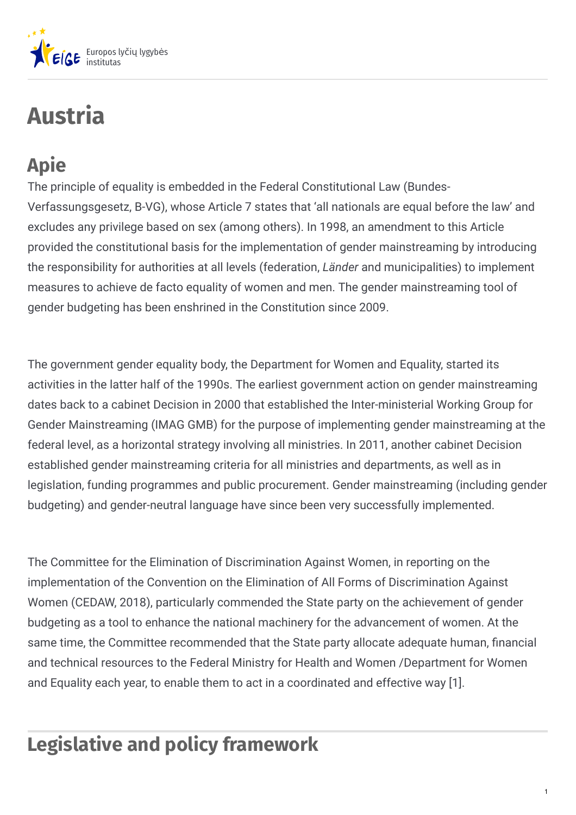

# **Austria**

## **Apie**

The principle of equality is embedded in the Federal Constitutional Law (Bundes-Verfassungsgesetz, B-VG), whose Article 7 states that 'all nationals are equal before the law' and excludes any privilege based on sex (among others). In 1998, an amendment to this Article provided the constitutional basis for the implementation of gender mainstreaming by introducing the responsibility for authorities at all levels (federation, *Länder* and municipalities) to implement measures to achieve de facto equality of women and men. The gender mainstreaming tool of gender budgeting has been enshrined in the Constitution since 2009.

The government gender equality body, the Department for Women and Equality, started its activities in the latter half of the 1990s. The earliest government action on gender mainstreaming dates back to a cabinet Decision in 2000 that established the Inter-ministerial Working Group for Gender Mainstreaming (IMAG GMB) for the purpose of implementing gender mainstreaming at the federal level, as a horizontal strategy involving all ministries. In 2011, another cabinet Decision established gender mainstreaming criteria for all ministries and departments, as well as in legislation, funding programmes and public procurement. Gender mainstreaming (including gender budgeting) and gender-neutral language have since been very successfully implemented.

The Committee for the Elimination of Discrimination Against Women, in reporting on the implementation of the Convention on the Elimination of All Forms of Discrimination Against Women (CEDAW, 2018), particularly commended the State party on the achievement of gender budgeting as a tool to enhance the national machinery for the advancement of women. At the same time, the Committee recommended that the State party allocate adequate human, financial and technical resources to the Federal Ministry for Health and Women /Department for Women and Equality each year, to enable them to act in a coordinated and effective way [1].

## **Legislative and policy framework**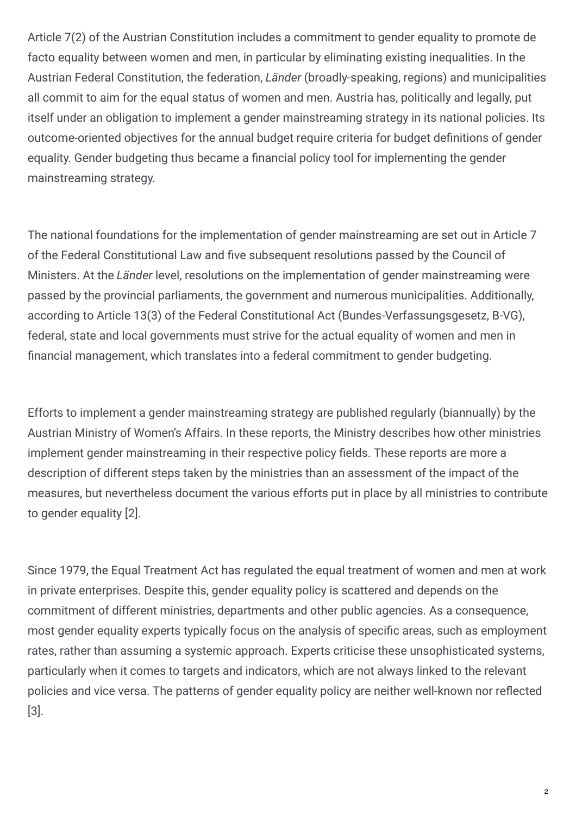Article 7(2) of the Austrian Constitution includes a commitment to gender equality to promote de facto equality between women and men, in particular by eliminating existing inequalities. In the Austrian Federal Constitution, the federation, *Länder* (broadly-speaking, regions) and municipalities all commit to aim for the equal status of women and men. Austria has, politically and legally, put itself under an obligation to implement a gender mainstreaming strategy in its national policies. Its outcome-oriented objectives for the annual budget require criteria for budget definitions of gender equality. Gender budgeting thus became a financial policy tool for implementing the gender mainstreaming strategy.

The national foundations for the implementation of gender mainstreaming are set out in Article 7 of the Federal Constitutional Law and five subsequent resolutions passed by the Council of Ministers. At the *Länder* level, resolutions on the implementation of gender mainstreaming were passed by the provincial parliaments, the government and numerous municipalities. Additionally, according to Article 13(3) of the Federal Constitutional Act (Bundes-Verfassungsgesetz, B-VG), federal, state and local governments must strive for the actual equality of women and men in financial management, which translates into a federal commitment to gender budgeting.

Efforts to implement a gender mainstreaming strategy are published regularly (biannually) by the Austrian Ministry of Women's Affairs. In these reports, the Ministry describes how other ministries implement gender mainstreaming in their respective policy fields. These reports are more a description of different steps taken by the ministries than an assessment of the impact of the measures, but nevertheless document the various efforts put in place by all ministries to contribute to gender equality [2].

Since 1979, the Equal Treatment Act has regulated the equal treatment of women and men at work in private enterprises. Despite this, gender equality policy is scattered and depends on the commitment of different ministries, departments and other public agencies. As a consequence, most gender equality experts typically focus on the analysis of specific areas, such as employment rates, rather than assuming a systemic approach. Experts criticise these unsophisticated systems, particularly when it comes to targets and indicators, which are not always linked to the relevant policies and vice versa. The patterns of gender equality policy are neither well-known nor reflected [3].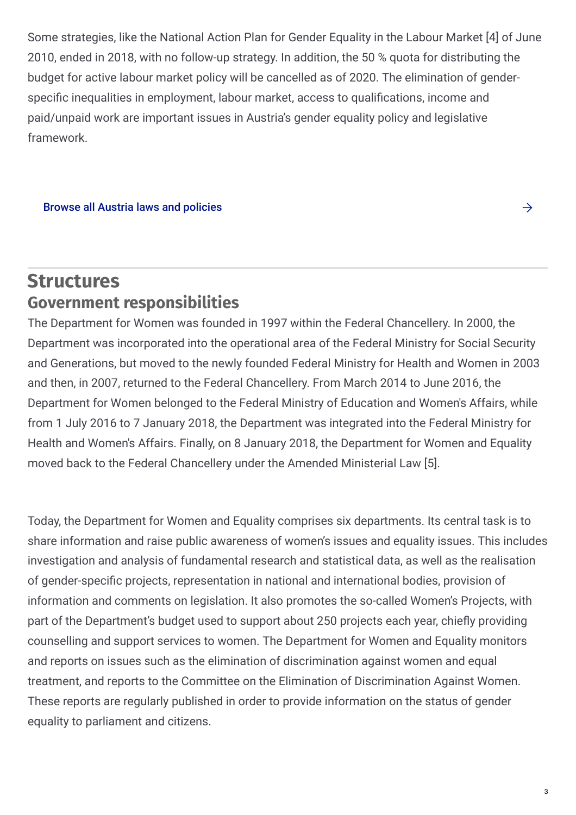Some strategies, like the National Action Plan for Gender Equality in the Labour Market [4] of June 2010, ended in 2018, with no follow-up strategy. In addition, the 50 % quota for distributing the budget for active labour market policy will be cancelled as of 2020. The elimination of genderspecific inequalities in employment, labour market, access to qualifications, income and paid/unpaid work are important issues in Austria's gender equality policy and legislative framework.

#### Browse all Austria laws and [policies](https://eige.europa.eu/gender-mainstreaming/countries/browse/austria?tp[]=resource)

#### **Structures Government responsibilities**

The Department for Women was founded in 1997 within the Federal Chancellery. In 2000, the Department was incorporated into the operational area of the Federal Ministry for Social Security and Generations, but moved to the newly founded Federal Ministry for Health and Women in 2003 and then, in 2007, returned to the Federal Chancellery. From March 2014 to June 2016, the Department for Women belonged to the Federal Ministry of Education and Women's Affairs, while from 1 July 2016 to 7 January 2018, the Department was integrated into the Federal Ministry for Health and Women's Affairs. Finally, on 8 January 2018, the Department for Women and Equality moved back to the Federal Chancellery under the Amended Ministerial Law [5].

Today, the Department for Women and Equality comprises six departments. Its central task is to share information and raise public awareness of women's issues and equality issues. This includes investigation and analysis of fundamental research and statistical data, as well as the realisation of gender-specific projects, representation in national and international bodies, provision of information and comments on legislation. It also promotes the so-called Women's Projects, with part of the Department's budget used to support about 250 projects each year, chiefly providing counselling and support services to women. The Department for Women and Equality monitors and reports on issues such as the elimination of discrimination against women and equal treatment, and reports to the Committee on the Elimination of Discrimination Against Women. These reports are regularly published in order to provide information on the status of gender equality to parliament and citizens.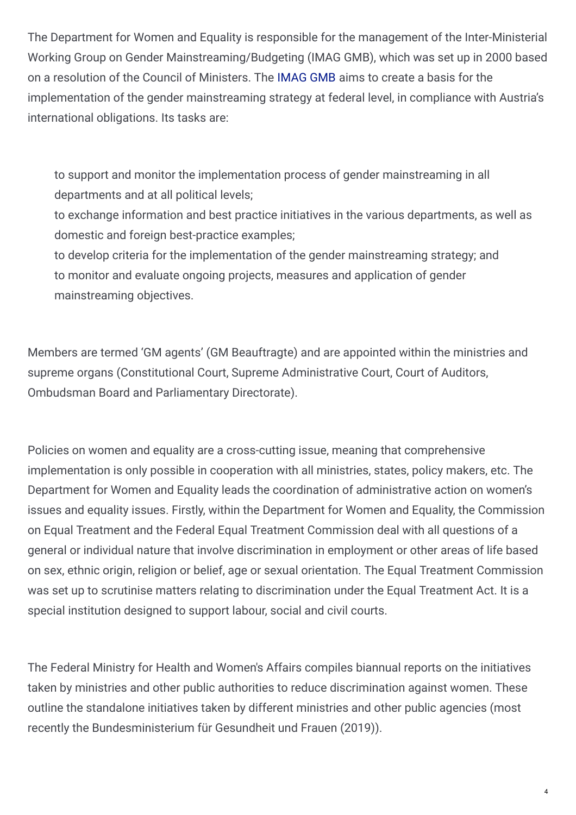The Department for Women and Equality is responsible for the management of the Inter-Ministerial Working Group on Gender Mainstreaming/Budgeting (IMAG GMB), which was set up in 2000 based on a resolution of the Council of Ministers. The [IMAG](http://www.imag-gmb.at/cms/imag/subcoverpage.htm?channel=CH0587&lang=en) GMB aims to create a basis for the implementation of the gender mainstreaming strategy at federal level, in compliance with Austria's international obligations. Its tasks are:

to support and monitor the implementation process of gender mainstreaming in all departments and at all political levels;

to exchange information and best practice initiatives in the various departments, as well as domestic and foreign best-practice examples;

to develop criteria for the implementation of the gender mainstreaming strategy; and to monitor and evaluate ongoing projects, measures and application of gender mainstreaming objectives.

Members are termed 'GM agents' (GM Beauftragte) and are appointed within the ministries and supreme organs (Constitutional Court, Supreme Administrative Court, Court of Auditors, Ombudsman Board and Parliamentary Directorate).

Policies on women and equality are a cross-cutting issue, meaning that comprehensive implementation is only possible in cooperation with all ministries, states, policy makers, etc. The Department for Women and Equality leads the coordination of administrative action on women's issues and equality issues. Firstly, within the Department for Women and Equality, the Commission on Equal Treatment and the Federal Equal Treatment Commission deal with all questions of a general or individual nature that involve discrimination in employment or other areas of life based on sex, ethnic origin, religion or belief, age or sexual orientation. The Equal Treatment Commission was set up to scrutinise matters relating to discrimination under the Equal Treatment Act. It is a special institution designed to support labour, social and civil courts.

The Federal Ministry for Health and Women's Affairs compiles biannual reports on the initiatives taken by ministries and other public authorities to reduce discrimination against women. These outline the standalone initiatives taken by different ministries and other public agencies (most recently the Bundesministerium für Gesundheit und Frauen (2019)).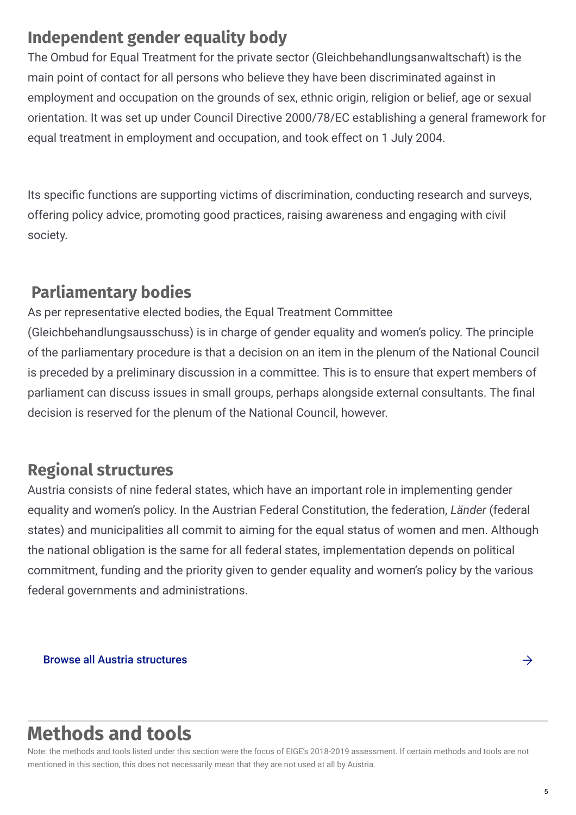### **Independent gender equality body**

The Ombud for Equal Treatment for the private sector (Gleichbehandlungsanwaltschaft) is the main point of contact for all persons who believe they have been discriminated against in employment and occupation on the grounds of sex, ethnic origin, religion or belief, age or sexual orientation. It was set up under Council Directive 2000/78/EC establishing a general framework for equal treatment in employment and occupation, and took effect on 1 July 2004.

Its specific functions are supporting victims of discrimination, conducting research and surveys, offering policy advice, promoting good practices, raising awareness and engaging with civil society.

### **Parliamentary bodies**

As per representative elected bodies, the Equal Treatment Committee (Gleichbehandlungsausschuss) is in charge of gender equality and women's policy. The principle of the parliamentary procedure is that a decision on an item in the plenum of the National Council is preceded by a preliminary discussion in a committee. This is to ensure that expert members of parliament can discuss issues in small groups, perhaps alongside external consultants. The final decision is reserved for the plenum of the National Council, however.

### **Regional structures**

Austria consists of nine federal states, which have an important role in implementing gender equality and women's policy. In the Austrian Federal Constitution, the federation, *Länder* (federal states) and municipalities all commit to aiming for the equal status of women and men. Although the national obligation is the same for all federal states, implementation depends on political commitment, funding and the priority given to gender equality and women's policy by the various federal governments and administrations.

Browse all Austria [structures](https://eige.europa.eu/gender-mainstreaming/countries/browse/austria?tp[]=structure)  $\rightarrow$ 

## **Methods and tools**

Note: the methods and tools listed under this section were the focus of EIGE's 2018-2019 assessment. If certain methods and tools are not mentioned in this section, this does not necessarily mean that they are not used at all by Austria.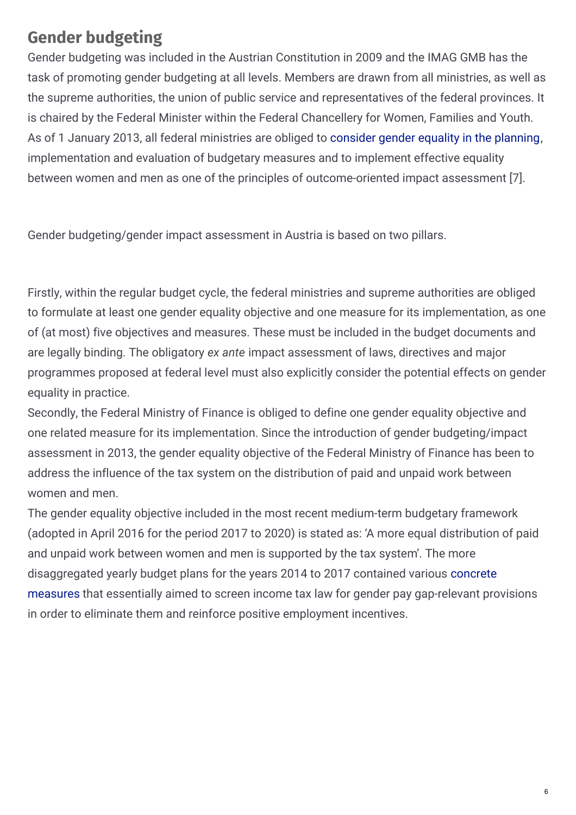### **Gender budgeting**

Gender budgeting was included in the Austrian Constitution in 2009 and the IMAG GMB has the task of promoting gender budgeting at all levels. Members are drawn from all ministries, as well as the supreme authorities, the union of public service and representatives of the federal provinces. It is chaired by the Federal Minister within the Federal Chancellery for Women, Families and Youth. As of 1 January 2013, all federal ministries are obliged to [consider](http://www.frauen-familien-jugend.bka.gv.at/frauen/publikationen/studien-und-berichte.html) gender equality in the planning, implementation and evaluation of budgetary measures and to implement effective equality between women and men as one of the principles of outcome-oriented impact assessment [7].

Gender budgeting/gender impact assessment in Austria is based on two pillars.

Firstly, within the regular budget cycle, the federal ministries and supreme authorities are obliged to formulate at least one gender equality objective and one measure for its implementation, as one of (at most) five objectives and measures. These must be included in the budget documents and are legally binding. The obligatory *ex ante* impact assessment of laws, directives and major programmes proposed at federal level must also explicitly consider the potential effects on gender equality in practice.

Secondly, the Federal Ministry of Finance is obliged to define one gender equality objective and one related measure for its implementation. Since the introduction of gender budgeting/impact assessment in 2013, the gender equality objective of the Federal Ministry of Finance has been to address the influence of the tax system on the distribution of paid and unpaid work between women and men.

The gender equality objective included in the most recent medium-term budgetary framework (adopted in April 2016 for the period 2017 to 2020) is stated as: 'A more equal distribution of paid and unpaid work between women and men is supported by the tax system'. The more [disaggregated](http://www.oeffentlicherdienst.gv.at/vab_dokumente/2019/vab2019-gender-und-gleichstellung.pdf) yearly budget plans for the years 2014 to 2017 contained various concrete measures that essentially aimed to screen income tax law for gender pay gap-relevant provisions in order to eliminate them and reinforce positive employment incentives.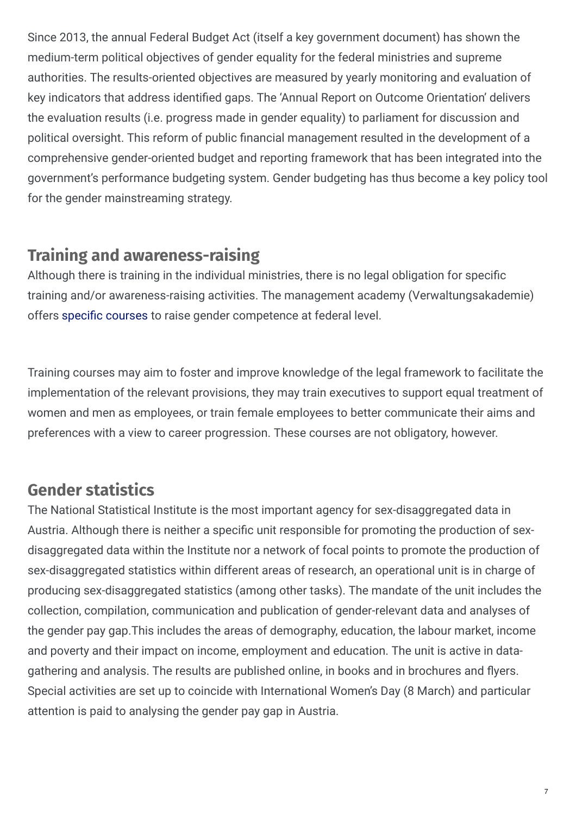Since 2013, the annual Federal Budget Act (itself a key government document) has shown the medium-term political objectives of gender equality for the federal ministries and supreme authorities. The results-oriented objectives are measured by yearly monitoring and evaluation of key indicators that address identified gaps. The 'Annual Report on Outcome Orientation' delivers the evaluation results (i.e. progress made in gender equality) to parliament for discussion and political oversight. This reform of public financial management resulted in the development of a comprehensive gender-oriented budget and reporting framework that has been integrated into the government's performance budgeting system. Gender budgeting has thus become a key policy tool for the gender mainstreaming strategy.

### **Training and awareness-raising**

Although there is training in the individual ministries, there is no legal obligation for specific training and/or awareness-raising activities. The management academy (Verwaltungsakademie) offers specific courses to raise gender competence at federal level.

Training courses may aim to foster and improve knowledge of the legal framework to facilitate the implementation of the relevant provisions, they may train executives to support equal treatment of women and men as employees, or train female employees to better communicate their aims and preferences with a view to career progression. These courses are not obligatory, however.

### **Gender statistics**

The National Statistical Institute is the most important agency for sex-disaggregated data in Austria. Although there is neither a specific unit responsible for promoting the production of sexdisaggregated data within the Institute nor a network of focal points to promote the production of sex-disaggregated statistics within different areas of research, an operational unit is in charge of producing sex-disaggregated statistics (among other tasks). The mandate of the unit includes the collection, compilation, communication and publication of gender-relevant data and analyses of the gender pay gap.This includes the areas of demography, education, the labour market, income and poverty and their impact on income, employment and education. The unit is active in datagathering and analysis. The results are published online, in books and in brochures and flyers. Special activities are set up to coincide with International Women's Day (8 March) and particular attention is paid to analysing the gender pay gap in Austria.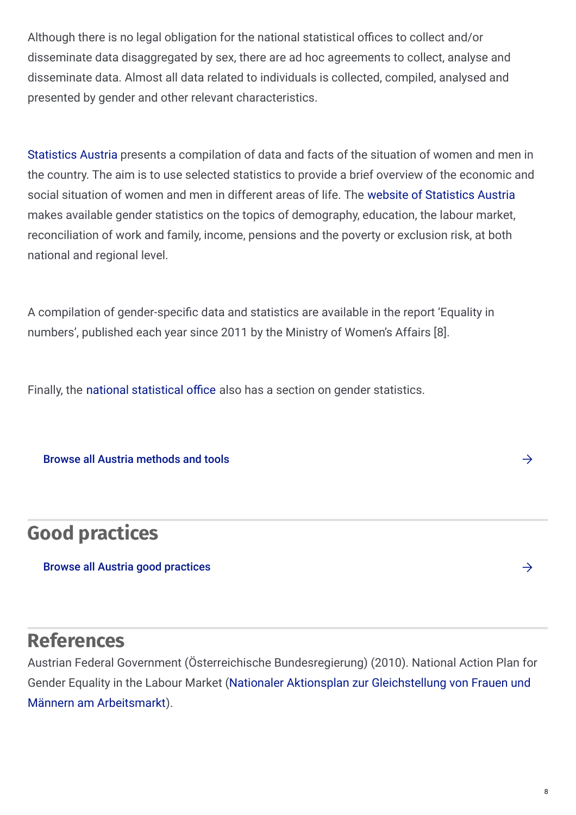Although there is no legal obligation for the national statistical offices to collect and/or disseminate data disaggregated by sex, there are ad hoc agreements to collect, analyse and disseminate data. Almost all data related to individuals is collected, compiled, analysed and presented by gender and other relevant characteristics.

[Statistics](http://www.statistik.at/web_en/statistics/index.html) Austria presents a compilation of data and facts of the situation of women and men in the country. The aim is to use selected statistics to provide a brief overview of the economic and social situation of women and men in different areas of life. The website of [Statistics](http://www.statistik.at/web_en/statistics/PeopleSociety/social_statistics/gender_statistics/index.html) Austria makes available gender statistics on the topics of demography, education, the labour market, reconciliation of work and family, income, pensions and the poverty or exclusion risk, at both national and regional level.

A compilation of gender-specific data and statistics are available in the report 'Equality in numbers', published each year since 2011 by the Ministry of Women's Affairs [8].

Finally, the national [statistical](http://www.statistik.at/web_en/statistics/PeopleSociety/social_statistics/gender_statistics/index.html) office also has a section on gender statistics.

Browse all Austria [methods](https://eige.europa.eu/gender-mainstreaming/countries/browse/austria?tp[]=method_tool) and tools

### **Good practices**

#### Browse all Austria good [practices](https://eige.europa.eu/gender-mainstreaming/countries/browse/austria?tp[]=good_practice)

### **References**

Austrian Federal Government (Österreichische Bundesregierung) (2010). National Action Plan for Gender Equality in the Labour Market (Nationaler Aktionsplan zur [Gleichstellung](http://www.frauen-familien-jugend.bka.gv.at/frauen/gleichstellung-arbeitsmarkt/nationaler-aktionsplan.html) von Frauen und Männern am Arbeitsmarkt).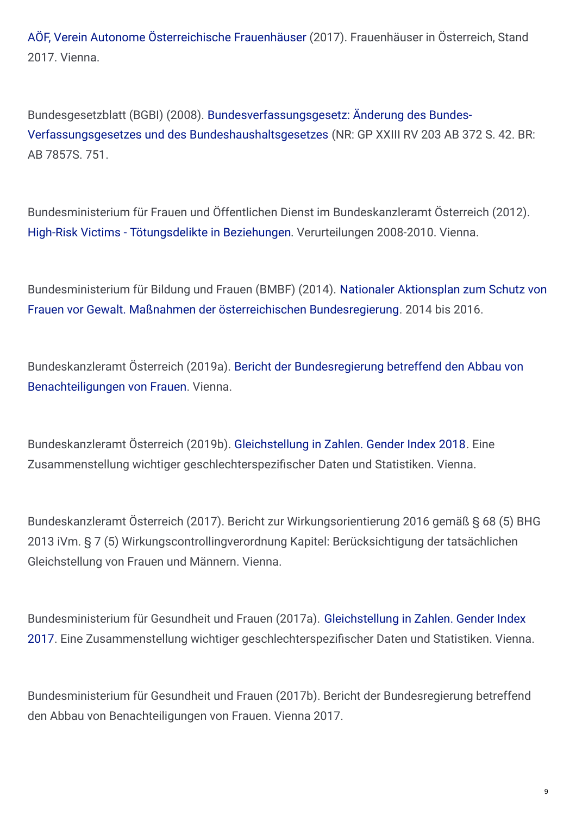AÖF, Verein Autonome [Österreichische](http://www.aoef.at/images/04a_zahlen-und-daten/FRAUENH�USER in �STERREICH 2017.pdf) Frauenhäuser (2017). Frauenhäuser in Österreich, Stand 2017. Vienna.

Bundesgesetzblatt (BGBI) (2008). [Bundesverfassungsgesetz:](https://www.ris.bka.gv.at/Dokumente/BgblAuth/BGBLA_2008_I_1/BGBLA_2008_I_1.pdfsig) Änderung des Bundes-Verfassungsgesetzes und des Bundeshaushaltsgesetzes (NR: GP XXIII RV 203 AB 372 S. 42. BR: AB 7857S. 751.

Bundesministerium für Frauen und Öffentlichen Dienst im Bundeskanzleramt Österreich (2012). High-Risk Victims - [Tötungsdelikte](https://www.frauen-familien-jugend.bka.gv.at/dam/jcr:333c49f2-b3c7-4938-9768-16416d809a6c/highrisk_victims_endbericht__26166.pdf) in Beziehungen. Verurteilungen 2008-2010. Vienna.

[Bundesministerium](https://www.frauen-familien-jugend.bka.gv.at/dam/jcr:f4ec112b-a0be-4490-9ed1-928ad9e42238/nap.pdf) für Bildung und Frauen (BMBF) (2014). Nationaler Aktionsplan zum Schutz von Frauen vor Gewalt. Maßnahmen der österreichischen Bundesregierung. 2014 bis 2016.

[Bundeskanzleramt](http://www.frauen-familien-jugend.bka.gv.at/frauen/publikationen/studien-und-berichte.html) Österreich (2019a). Bericht der Bundesregierung betreffend den Abbau von Benachteiligungen von Frauen. Vienna.

Bundeskanzleramt Österreich (2019b). [Gleichstellung](http://www.frauen-familien-jugend.bka.gv.at/dam/jcr:8c46eee4-a011-400e-8a4d-2b961eff6d3f/gender_index_2018.pdf) in Zahlen. Gender Index 2018. Eine Zusammenstellung wichtiger geschlechterspezifischer Daten und Statistiken. Vienna.

Bundeskanzleramt Österreich (2017). Bericht zur Wirkungsorientierung 2016 gemäß § 68 (5) BHG 2013 iVm. § 7 (5) Wirkungscontrollingverordnung Kapitel: Berücksichtigung der tatsächlichen Gleichstellung von Frauen und Männern. Vienna.

Bundesministerium für Gesundheit und Frauen (2017a). Gleichstellung in Zahlen. Gender Index 2017. Eine Zusammenstellung wichtiger geschlechterspezifischer Daten und Statistiken. Vienna.

Bundesministerium für Gesundheit und Frauen (2017b). Bericht der Bundesregierung betreffend den Abbau von Benachteiligungen von Frauen. Vienna 2017.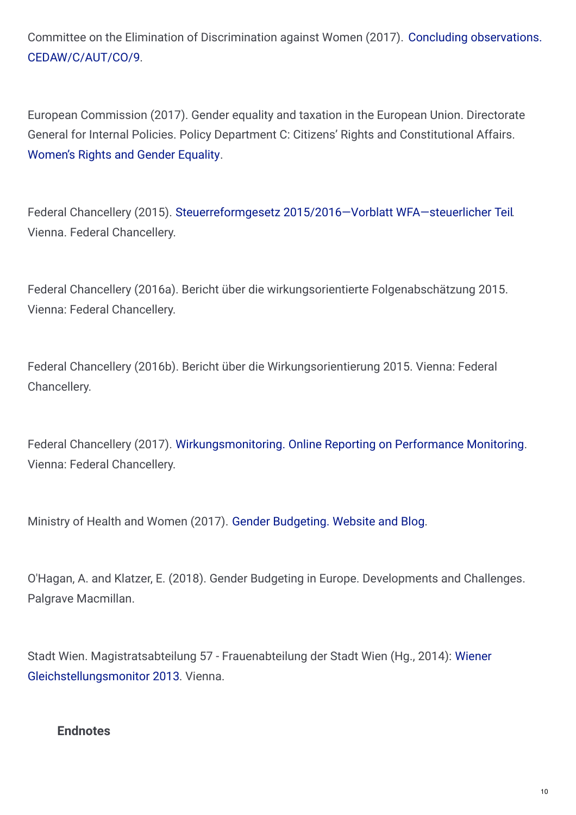Committee on the Elimination of Discrimination against Women (2017). Concluding observations. [CEDAW/C/AUT/CO/9.](https://tbinternet.ohchr.org/_layouts/15/treatybodyexternal/Download.aspx?symbolno=CEDAW/C/AUT/CO/9&Lang=En.https://tbinternet.ohchr.org/_layouts/15/treatybodyexternal/Download.aspx?symbolno=CEDAW/C/AUT/9&Lang=en)

European Commission (2017). Gender equality and taxation in the European Union. Directorate General for Internal Policies. Policy Department C: Citizens' Rights and Constitutional Affairs. [Women's](http://www.europarl.europa.eu/supporting-analyses) Rights and Gender Equality.

Federal Chancellery (2015). Steuerreformgesetz [2015/2016—Vorblatt](https://www.bmf.gv.at/steuern/Steuerreformgesetz_2015_2016___WFA_steuerlicher_Teil.pdf?67ry3v) WFA—steuerlicher Teil. Vienna. Federal Chancellery.

Federal Chancellery (2016a). Bericht über die wirkungsorientierte Folgenabschätzung 2015. Vienna: Federal Chancellery.

Federal Chancellery (2016b). Bericht über die Wirkungsorientierung 2015. Vienna: Federal Chancellery.

Federal Chancellery (2017). [Wirkungsmonitoring.](https://www.wirkungsmonitoring.gv.at) Online Reporting on Performance Monitoring. Vienna: Federal Chancellery.

Ministry of Health and Women (2017). Gender [Budgeting.](http://blog.imag-gendermainstreaming.at/index.php/de/home) Website and Blog.

O'Hagan, A. and Klatzer, E. (2018). Gender Budgeting in Europe. Developments and Challenges. Palgrave Macmillan.

Stadt Wien. Magistratsabteilung 57 - Frauenabteilung der Stadt Wien (Hg., 2014): Wiener [Gleichstellungsmonitor](https://www.wien.gv.at/menschen/frauen/pdf/gleichstellungsmonitor.pdf) 2013. Vienna.

#### **Endnotes**